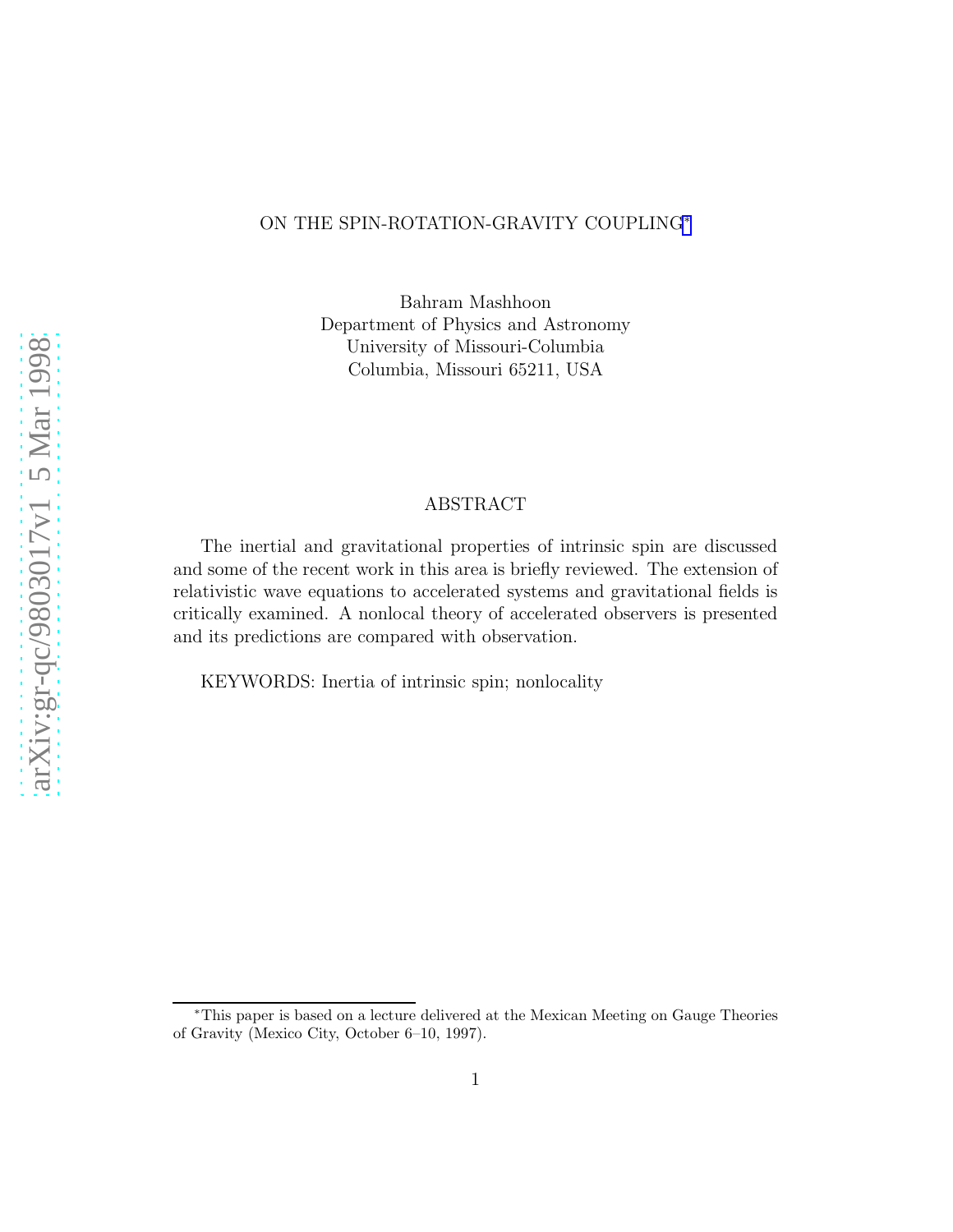## ON THE SPIN-ROTATION-GRAVITY COUPLING<sup>∗</sup>

Bahram Mashhoon Department of Physics and Astronomy University of Missouri-Columbia Columbia, Missouri 65211, USA

# ABSTRACT

The inertial and gravitational properties of intrinsic spin are discussed and some of the recent work in this area is briefly reviewed. The extension of relativistic wave equations to accelerated systems and gravitational fields is critically examined. A nonlocal theory of accelerated observers is presented and its predictions are compared with observation.

KEYWORDS: Inertia of intrinsic spin; nonlocality

<sup>∗</sup>This paper is based on a lecture delivered at the Mexican Meeting on Gauge Theories of Gravity (Mexico City, October 6–10, 1997).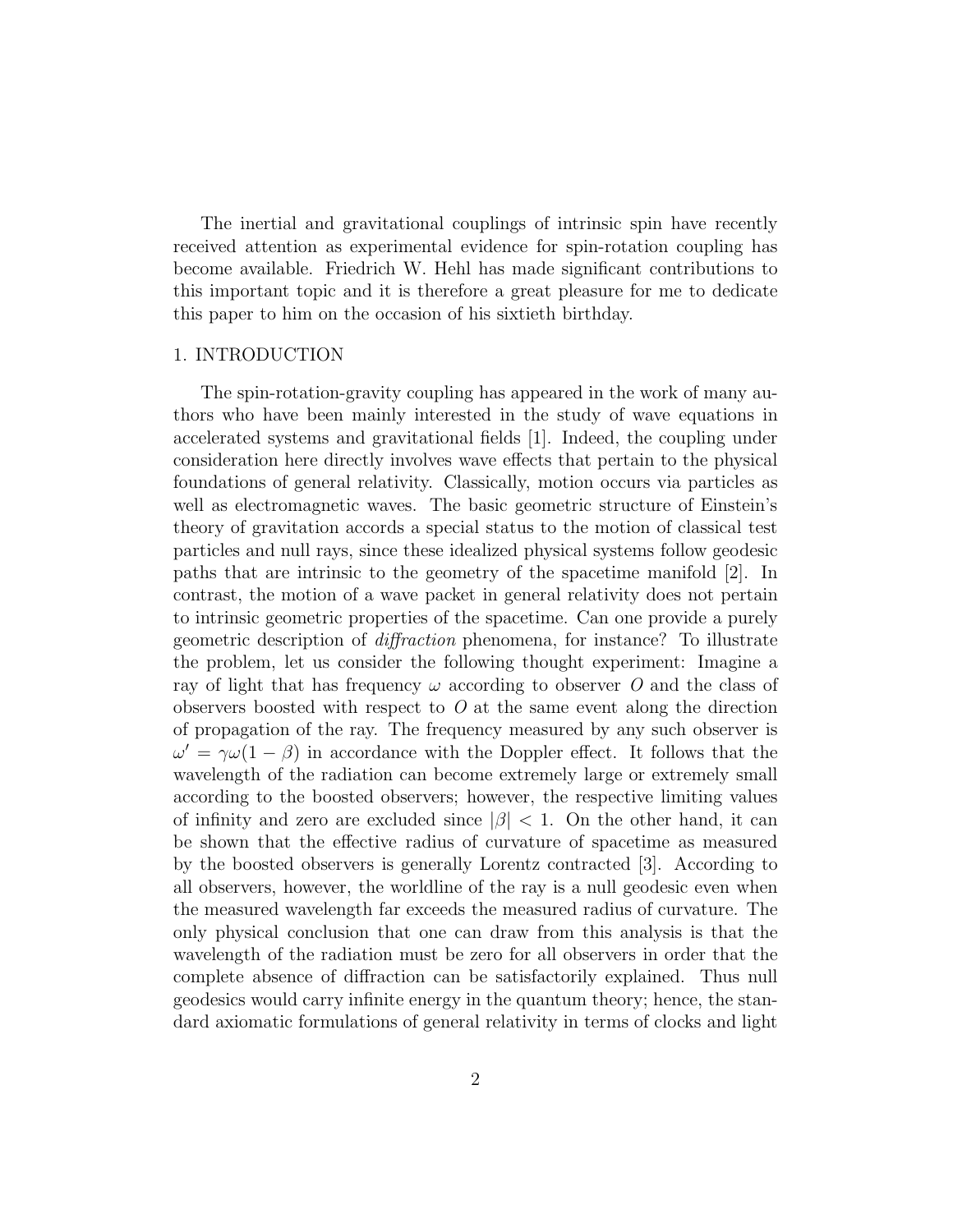The inertial and gravitational couplings of intrinsic spin have recently received attention as experimental evidence for spin-rotation coupling has become available. Friedrich W. Hehl has made significant contributions to this important topic and it is therefore a great pleasure for me to dedicate this paper to him on the occasion of his sixtieth birthday.

#### 1. INTRODUCTION

The spin-rotation-gravity coupling has appeared in the work of many authors who have been mainly interested in the study of wave equations in accelerated systems and gravitational fields [1]. Indeed, the coupling under consideration here directly involves wave effects that pertain to the physical foundations of general relativity. Classically, motion occurs via particles as well as electromagnetic waves. The basic geometric structure of Einstein's theory of gravitation accords a special status to the motion of classical test particles and null rays, since these idealized physical systems follow geodesic paths that are intrinsic to the geometry of the spacetime manifold [2]. In contrast, the motion of a wave packet in general relativity does not pertain to intrinsic geometric properties of the spacetime. Can one provide a purely geometric description of *diffraction* phenomena, for instance? To illustrate the problem, let us consider the following thought experiment: Imagine a ray of light that has frequency  $\omega$  according to observer O and the class of observers boosted with respect to *O* at the same event along the direction of propagation of the ray. The frequency measured by any such observer is  $\omega' = \gamma \omega (1 - \beta)$  in accordance with the Doppler effect. It follows that the wavelength of the radiation can become extremely large or extremely small according to the boosted observers; however, the respective limiting values of infinity and zero are excluded since  $|\beta|$  < 1. On the other hand, it can be shown that the effective radius of curvature of spacetime as measured by the boosted observers is generally Lorentz contracted [3]. According to all observers, however, the worldline of the ray is a null geodesic even when the measured wavelength far exceeds the measured radius of curvature. The only physical conclusion that one can draw from this analysis is that the wavelength of the radiation must be zero for all observers in order that the complete absence of diffraction can be satisfactorily explained. Thus null geodesics would carry infinite energy in the quantum theory; hence, the standard axiomatic formulations of general relativity in terms of clocks and light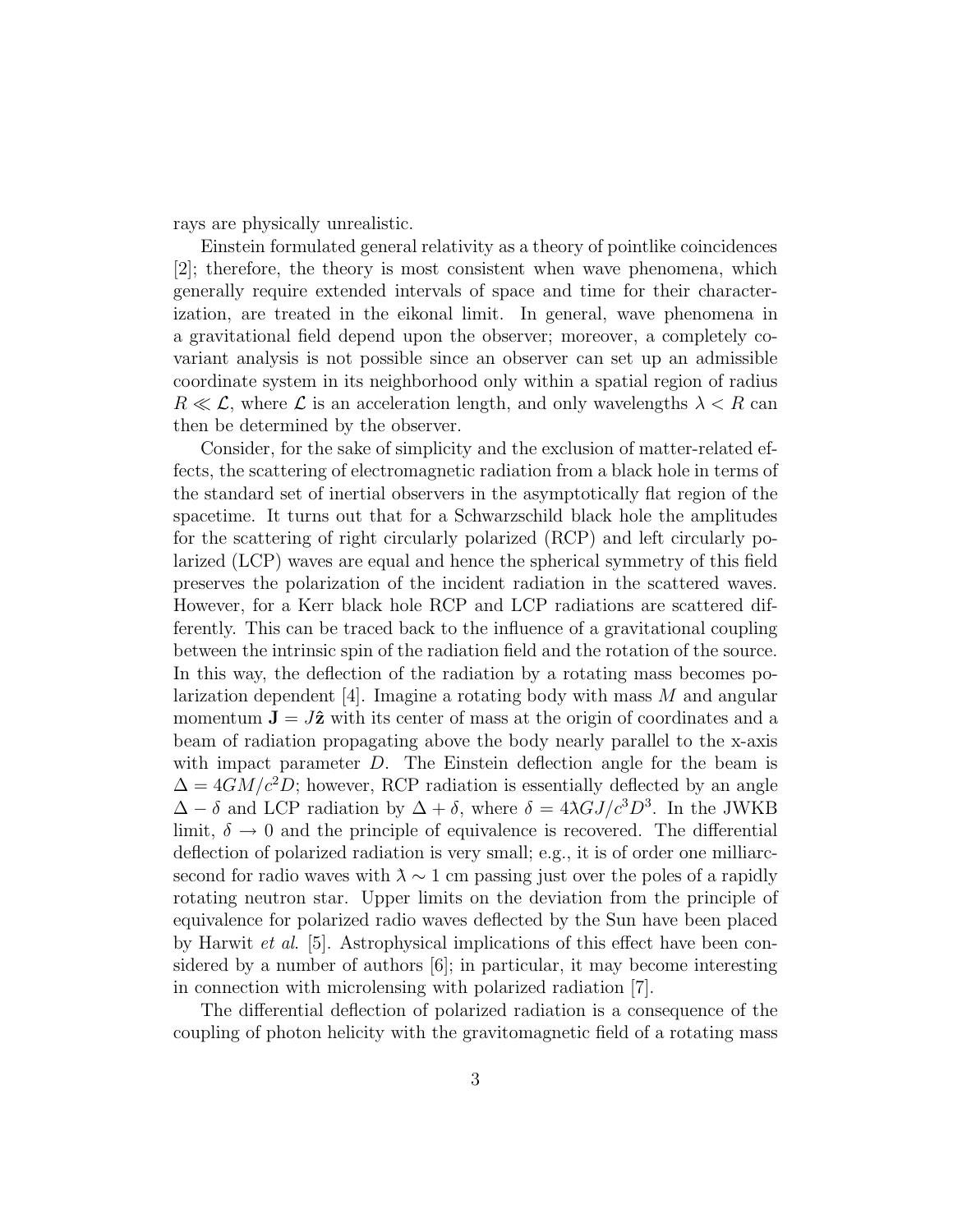rays are physically unrealistic.

Einstein formulated general relativity as a theory of pointlike coincidences [2]; therefore, the theory is most consistent when wave phenomena, which generally require extended intervals of space and time for their characterization, are treated in the eikonal limit. In general, wave phenomena in a gravitational field depend upon the observer; moreover, a completely covariant analysis is not possible since an observer can set up an admissible coordinate system in its neighborhood only within a spatial region of radius  $R \ll \mathcal{L}$ , where  $\mathcal{L}$  is an acceleration length, and only wavelengths  $\lambda < R$  can then be determined by the observer.

Consider, for the sake of simplicity and the exclusion of matter-related effects, the scattering of electromagnetic radiation from a black hole in terms of the standard set of inertial observers in the asymptotically flat region of the spacetime. It turns out that for a Schwarzschild black hole the amplitudes for the scattering of right circularly polarized (RCP) and left circularly polarized (LCP) waves are equal and hence the spherical symmetry of this field preserves the polarization of the incident radiation in the scattered waves. However, for a Kerr black hole RCP and LCP radiations are scattered differently. This can be traced back to the influence of a gravitational coupling between the intrinsic spin of the radiation field and the rotation of the source. In this way, the deflection of the radiation by a rotating mass becomes polarization dependent [4]. Imagine a rotating body with mass  $M$  and angular momentum  $J = J\hat{z}$  with its center of mass at the origin of coordinates and a beam of radiation propagating above the body nearly parallel to the x-axis with impact parameter  $D$ . The Einstein deflection angle for the beam is  $\Delta = 4GM/c^2D$ ; however, RCP radiation is essentially deflected by an angle  $\Delta - \delta$  and LCP radiation by  $\Delta + \delta$ , where  $\delta = 4\lambda GJ/c^3D^3$ . In the JWKB limit,  $\delta \rightarrow 0$  and the principle of equivalence is recovered. The differential deflection of polarized radiation is very small; e.g., it is of order one milliarcsecond for radio waves with  $\lambda \sim 1$  cm passing just over the poles of a rapidly rotating neutron star. Upper limits on the deviation from the principle of equivalence for polarized radio waves deflected by the Sun have been placed by Harwit *et al*. [5]. Astrophysical implications of this effect have been considered by a number of authors [6]; in particular, it may become interesting in connection with microlensing with polarized radiation [7].

The differential deflection of polarized radiation is a consequence of the coupling of photon helicity with the gravitomagnetic field of a rotating mass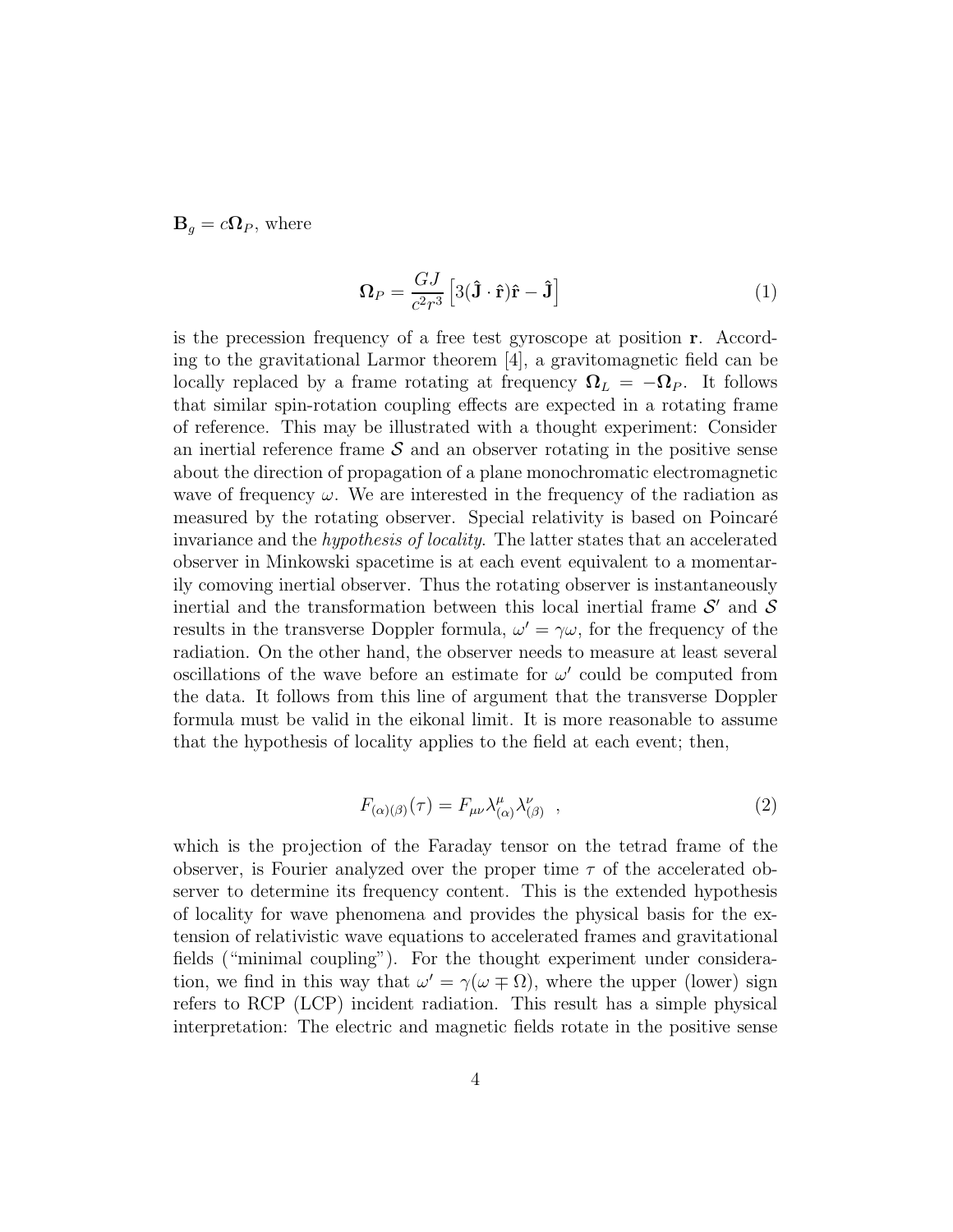$\mathbf{B}_q = c\mathbf{\Omega}_P$ , where

$$
\Omega_P = \frac{GJ}{c^2 r^3} \left[ 3(\hat{\mathbf{J}} \cdot \hat{\mathbf{r}}) \hat{\mathbf{r}} - \hat{\mathbf{J}} \right]
$$
 (1)

is the precession frequency of a free test gyroscope at position r. According to the gravitational Larmor theorem [4], a gravitomagnetic field can be locally replaced by a frame rotating at frequency  $\Omega_L = -\Omega_P$ . It follows that similar spin-rotation coupling effects are expected in a rotating frame of reference. This may be illustrated with a thought experiment: Consider an inertial reference frame  $S$  and an observer rotating in the positive sense about the direction of propagation of a plane monochromatic electromagnetic wave of frequency  $\omega$ . We are interested in the frequency of the radiation as measured by the rotating observer. Special relativity is based on Poincaré invariance and the *hypothesis of locality*. The latter states that an accelerated observer in Minkowski spacetime is at each event equivalent to a momentarily comoving inertial observer. Thus the rotating observer is instantaneously inertial and the transformation between this local inertial frame  $S'$  and  $S$ results in the transverse Doppler formula,  $\omega' = \gamma \omega$ , for the frequency of the radiation. On the other hand, the observer needs to measure at least several oscillations of the wave before an estimate for  $\omega'$  could be computed from the data. It follows from this line of argument that the transverse Doppler formula must be valid in the eikonal limit. It is more reasonable to assume that the hypothesis of locality applies to the field at each event; then,

$$
F_{(\alpha)(\beta)}(\tau) = F_{\mu\nu} \lambda^{\mu}_{(\alpha)} \lambda^{\nu}_{(\beta)} \quad , \tag{2}
$$

which is the projection of the Faraday tensor on the tetrad frame of the observer, is Fourier analyzed over the proper time  $\tau$  of the accelerated observer to determine its frequency content. This is the extended hypothesis of locality for wave phenomena and provides the physical basis for the extension of relativistic wave equations to accelerated frames and gravitational fields ("minimal coupling"). For the thought experiment under consideration, we find in this way that  $\omega' = \gamma(\omega \mp \Omega)$ , where the upper (lower) sign refers to RCP (LCP) incident radiation. This result has a simple physical interpretation: The electric and magnetic fields rotate in the positive sense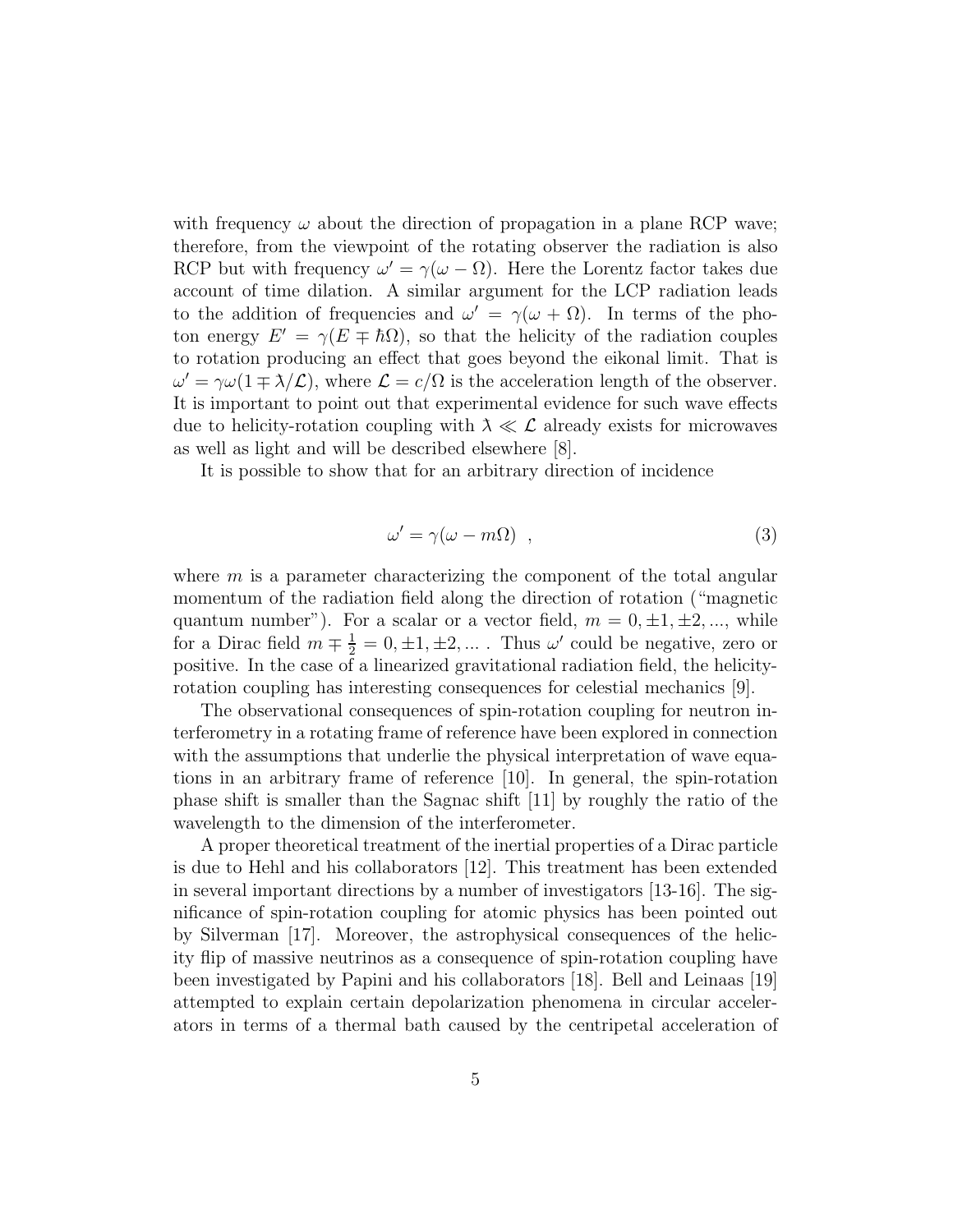with frequency  $\omega$  about the direction of propagation in a plane RCP wave; therefore, from the viewpoint of the rotating observer the radiation is also RCP but with frequency  $\omega' = \gamma(\omega - \Omega)$ . Here the Lorentz factor takes due account of time dilation. A similar argument for the LCP radiation leads to the addition of frequencies and  $\omega' = \gamma(\omega + \Omega)$ . In terms of the photon energy  $E' = \gamma (E \mp \hbar \Omega)$ , so that the helicity of the radiation couples to rotation producing an effect that goes beyond the eikonal limit. That is  $\omega' = \gamma \omega (1 \mp \lambda / \mathcal{L})$ , where  $\mathcal{L} = c / \Omega$  is the acceleration length of the observer. It is important to point out that experimental evidence for such wave effects due to helicity-rotation coupling with  $\lambda \ll \mathcal{L}$  already exists for microwaves as well as light and will be described elsewhere [8].

It is possible to show that for an arbitrary direction of incidence

$$
\omega' = \gamma(\omega - m\Omega) \quad , \tag{3}
$$

where  $m$  is a parameter characterizing the component of the total angular momentum of the radiation field along the direction of rotation ("magnetic quantum number"). For a scalar or a vector field,  $m = 0, \pm 1, \pm 2, \dots$ , while for a Dirac field  $m \nightharpoonup \frac{1}{2} = 0, \pm 1, \pm 2, \dots$ . Thus  $\omega'$  could be negative, zero or positive. In the case of a linearized gravitational radiation field, the helicityrotation coupling has interesting consequences for celestial mechanics [9].

The observational consequences of spin-rotation coupling for neutron interferometry in a rotating frame of reference have been explored in connection with the assumptions that underlie the physical interpretation of wave equations in an arbitrary frame of reference [10]. In general, the spin-rotation phase shift is smaller than the Sagnac shift [11] by roughly the ratio of the wavelength to the dimension of the interferometer.

A proper theoretical treatment of the inertial properties of a Dirac particle is due to Hehl and his collaborators [12]. This treatment has been extended in several important directions by a number of investigators [13-16]. The significance of spin-rotation coupling for atomic physics has been pointed out by Silverman [17]. Moreover, the astrophysical consequences of the helicity flip of massive neutrinos as a consequence of spin-rotation coupling have been investigated by Papini and his collaborators [18]. Bell and Leinaas [19] attempted to explain certain depolarization phenomena in circular accelerators in terms of a thermal bath caused by the centripetal acceleration of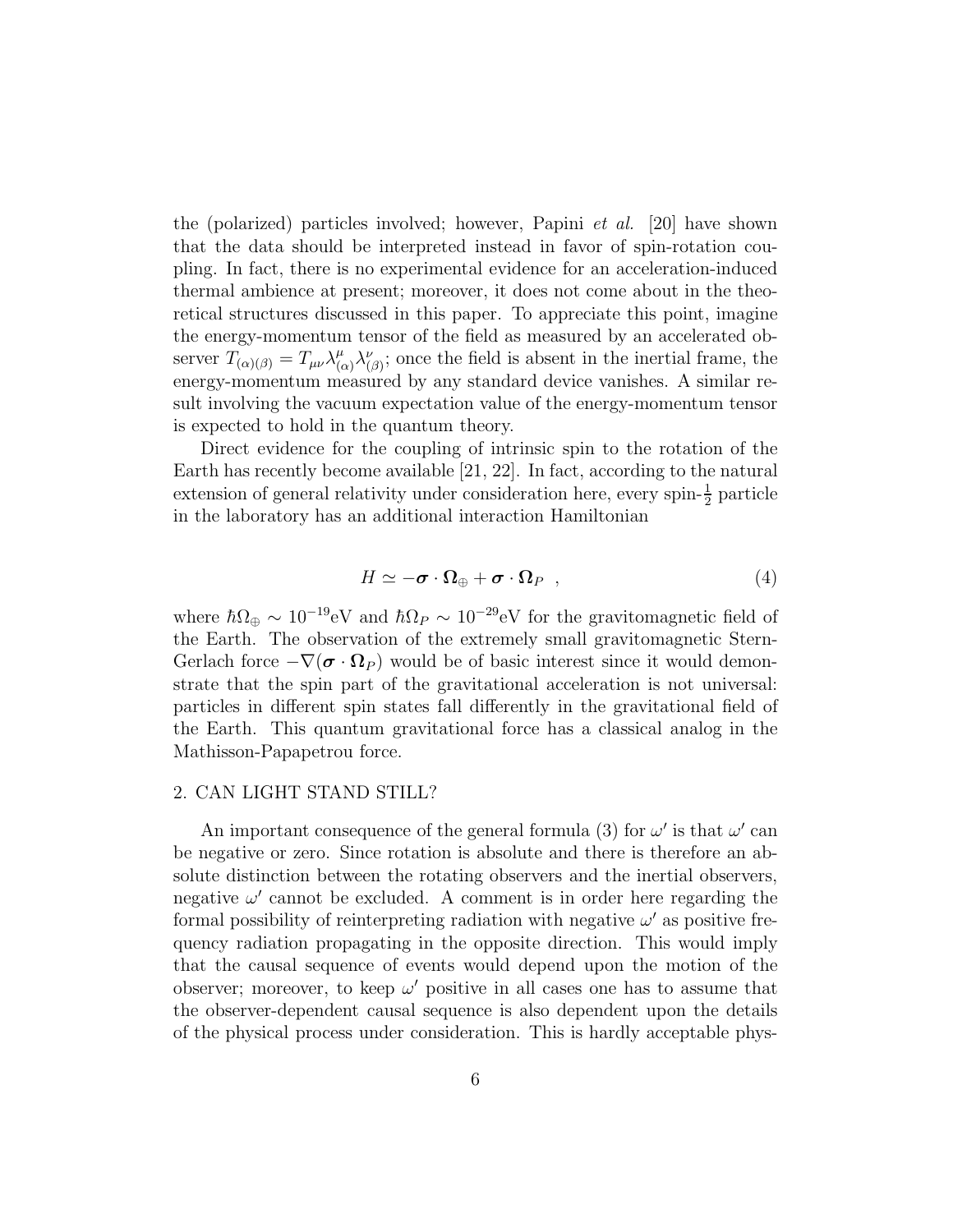the (polarized) particles involved; however, Papini *et al.* [20] have shown that the data should be interpreted instead in favor of spin-rotation coupling. In fact, there is no experimental evidence for an acceleration-induced thermal ambience at present; moreover, it does not come about in the theoretical structures discussed in this paper. To appreciate this point, imagine the energy-momentum tensor of the field as measured by an accelerated observer  $T_{(\alpha)(\beta)} = T_{\mu\nu} \lambda^{\mu}_{(\beta)}$  $_{(\alpha)}^{\mu} \lambda_{(\beta)}^{\nu}$ ; once the field is absent in the inertial frame, the energy-momentum measured by any standard device vanishes. A similar result involving the vacuum expectation value of the energy-momentum tensor is expected to hold in the quantum theory.

Direct evidence for the coupling of intrinsic spin to the rotation of the Earth has recently become available [21, 22]. In fact, according to the natural extension of general relativity under consideration here, every spin- $\frac{1}{2}$  particle in the laboratory has an additional interaction Hamiltonian

$$
H \simeq -\boldsymbol{\sigma} \cdot \boldsymbol{\Omega}_{\oplus} + \boldsymbol{\sigma} \cdot \boldsymbol{\Omega}_{P} \quad , \tag{4}
$$

where  $\hbar\Omega_{\oplus} \sim 10^{-19}$ eV and  $\hbar\Omega_P \sim 10^{-29}$ eV for the gravitomagnetic field of the Earth. The observation of the extremely small gravitomagnetic Stern-Gerlach force  $-\nabla(\boldsymbol{\sigma}\cdot\boldsymbol{\Omega}_P)$  would be of basic interest since it would demonstrate that the spin part of the gravitational acceleration is not universal: particles in different spin states fall differently in the gravitational field of the Earth. This quantum gravitational force has a classical analog in the Mathisson-Papapetrou force.

### 2. CAN LIGHT STAND STILL?

An important consequence of the general formula (3) for  $\omega'$  is that  $\omega'$  can be negative or zero. Since rotation is absolute and there is therefore an absolute distinction between the rotating observers and the inertial observers, negative  $\omega'$  cannot be excluded. A comment is in order here regarding the formal possibility of reinterpreting radiation with negative  $\omega'$  as positive frequency radiation propagating in the opposite direction. This would imply that the causal sequence of events would depend upon the motion of the observer; moreover, to keep  $\omega'$  positive in all cases one has to assume that the observer-dependent causal sequence is also dependent upon the details of the physical process under consideration. This is hardly acceptable phys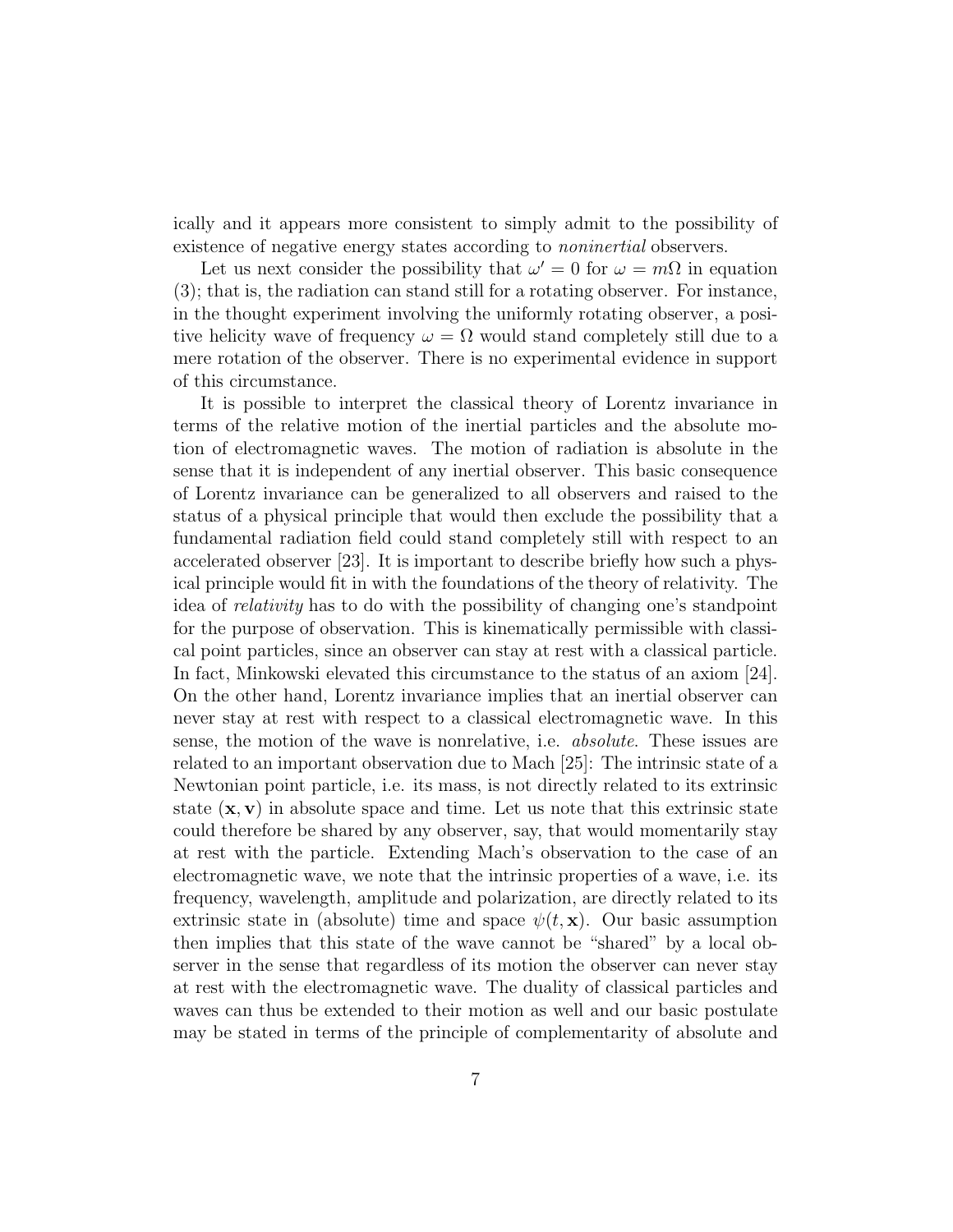ically and it appears more consistent to simply admit to the possibility of existence of negative energy states according to *noninertial* observers.

Let us next consider the possibility that  $\omega' = 0$  for  $\omega = m\Omega$  in equation (3); that is, the radiation can stand still for a rotating observer. For instance, in the thought experiment involving the uniformly rotating observer, a positive helicity wave of frequency  $\omega = \Omega$  would stand completely still due to a mere rotation of the observer. There is no experimental evidence in support of this circumstance.

It is possible to interpret the classical theory of Lorentz invariance in terms of the relative motion of the inertial particles and the absolute motion of electromagnetic waves. The motion of radiation is absolute in the sense that it is independent of any inertial observer. This basic consequence of Lorentz invariance can be generalized to all observers and raised to the status of a physical principle that would then exclude the possibility that a fundamental radiation field could stand completely still with respect to an accelerated observer [23]. It is important to describe briefly how such a physical principle would fit in with the foundations of the theory of relativity. The idea of *relativity* has to do with the possibility of changing one's standpoint for the purpose of observation. This is kinematically permissible with classical point particles, since an observer can stay at rest with a classical particle. In fact, Minkowski elevated this circumstance to the status of an axiom [24]. On the other hand, Lorentz invariance implies that an inertial observer can never stay at rest with respect to a classical electromagnetic wave. In this sense, the motion of the wave is nonrelative, i.e. *absolute*. These issues are related to an important observation due to Mach [25]: The intrinsic state of a Newtonian point particle, i.e. its mass, is not directly related to its extrinsic state  $(x, v)$  in absolute space and time. Let us note that this extrinsic state could therefore be shared by any observer, say, that would momentarily stay at rest with the particle. Extending Mach's observation to the case of an electromagnetic wave, we note that the intrinsic properties of a wave, i.e. its frequency, wavelength, amplitude and polarization, are directly related to its extrinsic state in (absolute) time and space  $\psi(t, \mathbf{x})$ . Our basic assumption then implies that this state of the wave cannot be "shared" by a local observer in the sense that regardless of its motion the observer can never stay at rest with the electromagnetic wave. The duality of classical particles and waves can thus be extended to their motion as well and our basic postulate may be stated in terms of the principle of complementarity of absolute and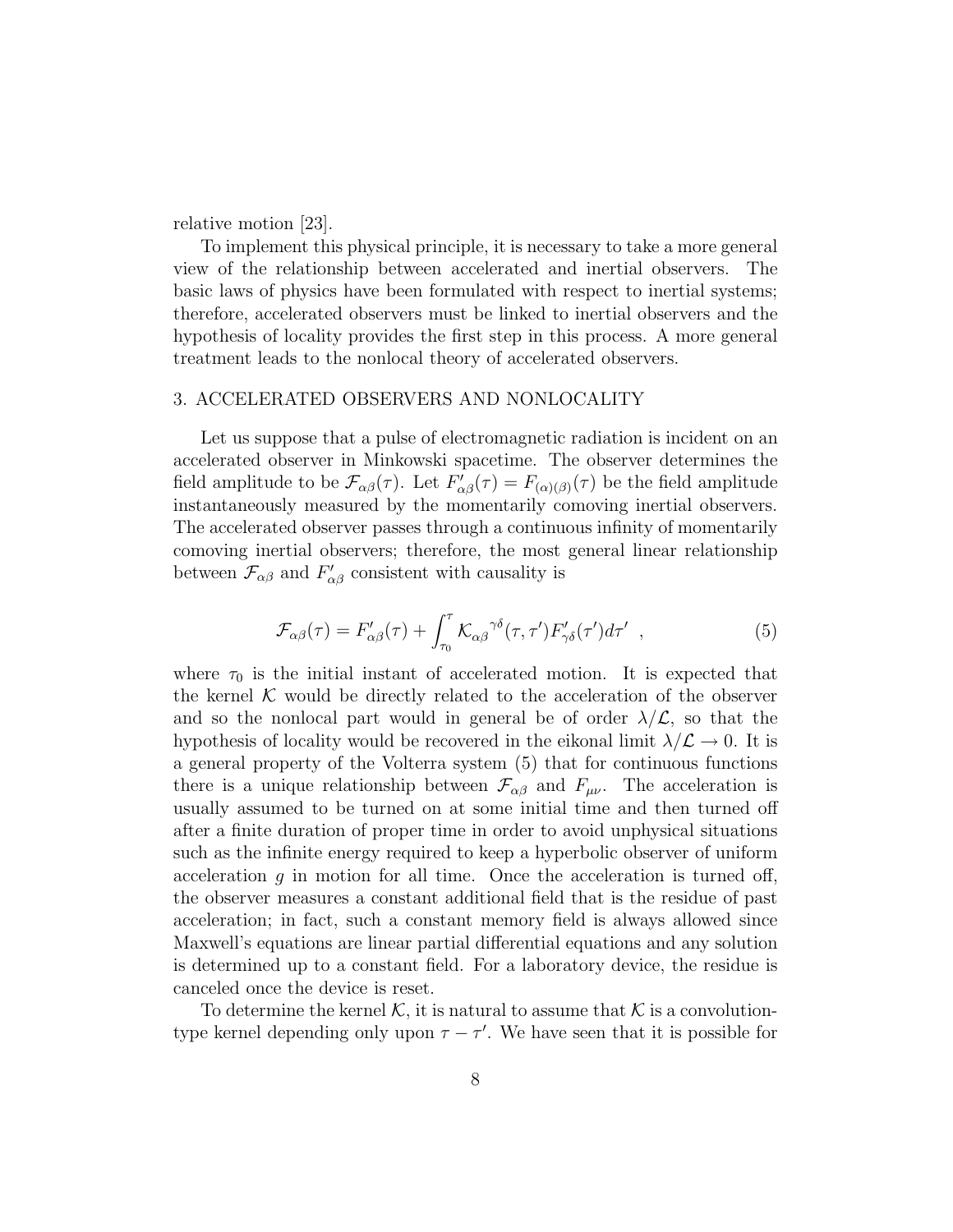relative motion [23].

To implement this physical principle, it is necessary to take a more general view of the relationship between accelerated and inertial observers. The basic laws of physics have been formulated with respect to inertial systems; therefore, accelerated observers must be linked to inertial observers and the hypothesis of locality provides the first step in this process. A more general treatment leads to the nonlocal theory of accelerated observers.

#### 3. ACCELERATED OBSERVERS AND NONLOCALITY

Let us suppose that a pulse of electromagnetic radiation is incident on an accelerated observer in Minkowski spacetime. The observer determines the field amplitude to be  $\mathcal{F}_{\alpha\beta}(\tau)$ . Let  $F'_{\alpha\beta}(\tau) = F_{(\alpha)(\beta)}(\tau)$  be the field amplitude instantaneously measured by the momentarily comoving inertial observers. The accelerated observer passes through a continuous infinity of momentarily comoving inertial observers; therefore, the most general linear relationship between  $\mathcal{F}_{\alpha\beta}$  and  $F'_{\alpha\beta}$  consistent with causality is

$$
\mathcal{F}_{\alpha\beta}(\tau) = F'_{\alpha\beta}(\tau) + \int_{\tau_0}^{\tau} \mathcal{K}_{\alpha\beta}^{\gamma\delta}(\tau, \tau') F'_{\gamma\delta}(\tau') d\tau' , \qquad (5)
$$

where  $\tau_0$  is the initial instant of accelerated motion. It is expected that the kernel  $K$  would be directly related to the acceleration of the observer and so the nonlocal part would in general be of order  $\lambda/\mathcal{L}$ , so that the hypothesis of locality would be recovered in the eikonal limit  $\lambda/\mathcal{L} \rightarrow 0$ . It is a general property of the Volterra system (5) that for continuous functions there is a unique relationship between  $\mathcal{F}_{\alpha\beta}$  and  $F_{\mu\nu}$ . The acceleration is usually assumed to be turned on at some initial time and then turned off after a finite duration of proper time in order to avoid unphysical situations such as the infinite energy required to keep a hyperbolic observer of uniform acceleration  $g$  in motion for all time. Once the acceleration is turned off, the observer measures a constant additional field that is the residue of past acceleration; in fact, such a constant memory field is always allowed since Maxwell's equations are linear partial differential equations and any solution is determined up to a constant field. For a laboratory device, the residue is canceled once the device is reset.

To determine the kernel K, it is natural to assume that K is a convolutiontype kernel depending only upon  $\tau - \tau'$ . We have seen that it is possible for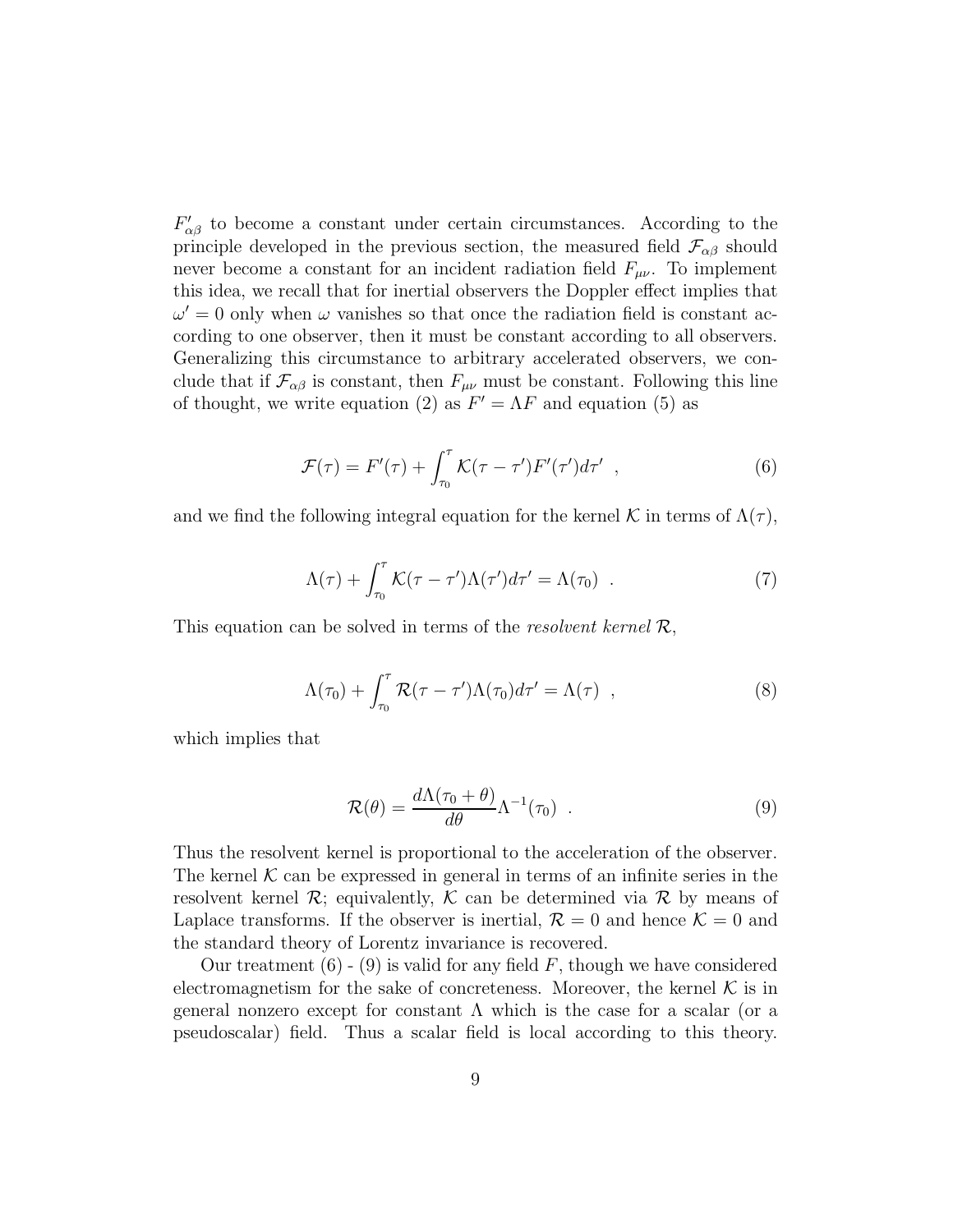$F'_{\alpha\beta}$  to become a constant under certain circumstances. According to the principle developed in the previous section, the measured field  $\mathcal{F}_{\alpha\beta}$  should never become a constant for an incident radiation field  $F_{\mu\nu}$ . To implement this idea, we recall that for inertial observers the Doppler effect implies that  $\omega' = 0$  only when  $\omega$  vanishes so that once the radiation field is constant according to one observer, then it must be constant according to all observers. Generalizing this circumstance to arbitrary accelerated observers, we conclude that if  $\mathcal{F}_{\alpha\beta}$  is constant, then  $F_{\mu\nu}$  must be constant. Following this line of thought, we write equation (2) as  $F' = \Lambda F$  and equation (5) as

$$
\mathcal{F}(\tau) = F'(\tau) + \int_{\tau_0}^{\tau} \mathcal{K}(\tau - \tau') F'(\tau') d\tau' , \qquad (6)
$$

and we find the following integral equation for the kernel K in terms of  $\Lambda(\tau)$ ,

$$
\Lambda(\tau) + \int_{\tau_0}^{\tau} \mathcal{K}(\tau - \tau') \Lambda(\tau') d\tau' = \Lambda(\tau_0) \quad . \tag{7}
$$

This equation can be solved in terms of the *resolvent kernel* R,

$$
\Lambda(\tau_0) + \int_{\tau_0}^{\tau} \mathcal{R}(\tau - \tau') \Lambda(\tau_0) d\tau' = \Lambda(\tau) , \qquad (8)
$$

which implies that

$$
\mathcal{R}(\theta) = \frac{d\Lambda(\tau_0 + \theta)}{d\theta} \Lambda^{-1}(\tau_0) \quad . \tag{9}
$$

Thus the resolvent kernel is proportional to the acceleration of the observer. The kernel  $K$  can be expressed in general in terms of an infinite series in the resolvent kernel  $\mathcal{R}$ ; equivalently,  $\mathcal{K}$  can be determined via  $\mathcal{R}$  by means of Laplace transforms. If the observer is inertial,  $\mathcal{R} = 0$  and hence  $\mathcal{K} = 0$  and the standard theory of Lorentz invariance is recovered.

Our treatment  $(6)$  -  $(9)$  is valid for any field F, though we have considered electromagnetism for the sake of concreteness. Moreover, the kernel  $K$  is in general nonzero except for constant  $\Lambda$  which is the case for a scalar (or a pseudoscalar) field. Thus a scalar field is local according to this theory.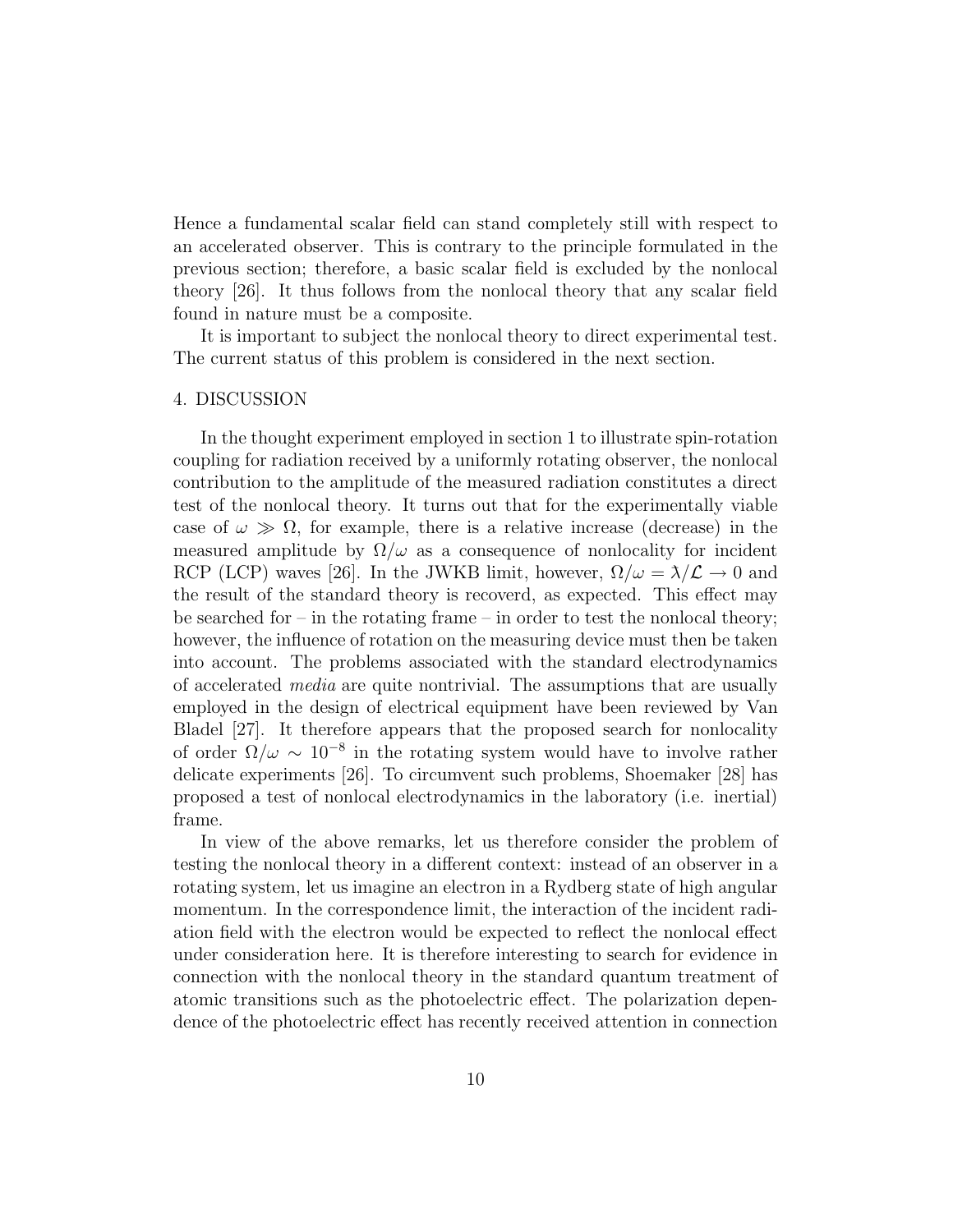Hence a fundamental scalar field can stand completely still with respect to an accelerated observer. This is contrary to the principle formulated in the previous section; therefore, a basic scalar field is excluded by the nonlocal theory [26]. It thus follows from the nonlocal theory that any scalar field found in nature must be a composite.

It is important to subject the nonlocal theory to direct experimental test. The current status of this problem is considered in the next section.

#### 4. DISCUSSION

In the thought experiment employed in section 1 to illustrate spin-rotation coupling for radiation received by a uniformly rotating observer, the nonlocal contribution to the amplitude of the measured radiation constitutes a direct test of the nonlocal theory. It turns out that for the experimentally viable case of  $\omega \gg \Omega$ , for example, there is a relative increase (decrease) in the measured amplitude by  $\Omega/\omega$  as a consequence of nonlocality for incident RCP (LCP) waves [26]. In the JWKB limit, however,  $\Omega/\omega = \lambda/\mathcal{L} \to 0$  and the result of the standard theory is recoverd, as expected. This effect may be searched for – in the rotating frame – in order to test the nonlocal theory; however, the influence of rotation on the measuring device must then be taken into account. The problems associated with the standard electrodynamics of accelerated *media* are quite nontrivial. The assumptions that are usually employed in the design of electrical equipment have been reviewed by Van Bladel [27]. It therefore appears that the proposed search for nonlocality of order  $\Omega/\omega \sim 10^{-8}$  in the rotating system would have to involve rather delicate experiments [26]. To circumvent such problems, Shoemaker [28] has proposed a test of nonlocal electrodynamics in the laboratory (i.e. inertial) frame.

In view of the above remarks, let us therefore consider the problem of testing the nonlocal theory in a different context: instead of an observer in a rotating system, let us imagine an electron in a Rydberg state of high angular momentum. In the correspondence limit, the interaction of the incident radiation field with the electron would be expected to reflect the nonlocal effect under consideration here. It is therefore interesting to search for evidence in connection with the nonlocal theory in the standard quantum treatment of atomic transitions such as the photoelectric effect. The polarization dependence of the photoelectric effect has recently received attention in connection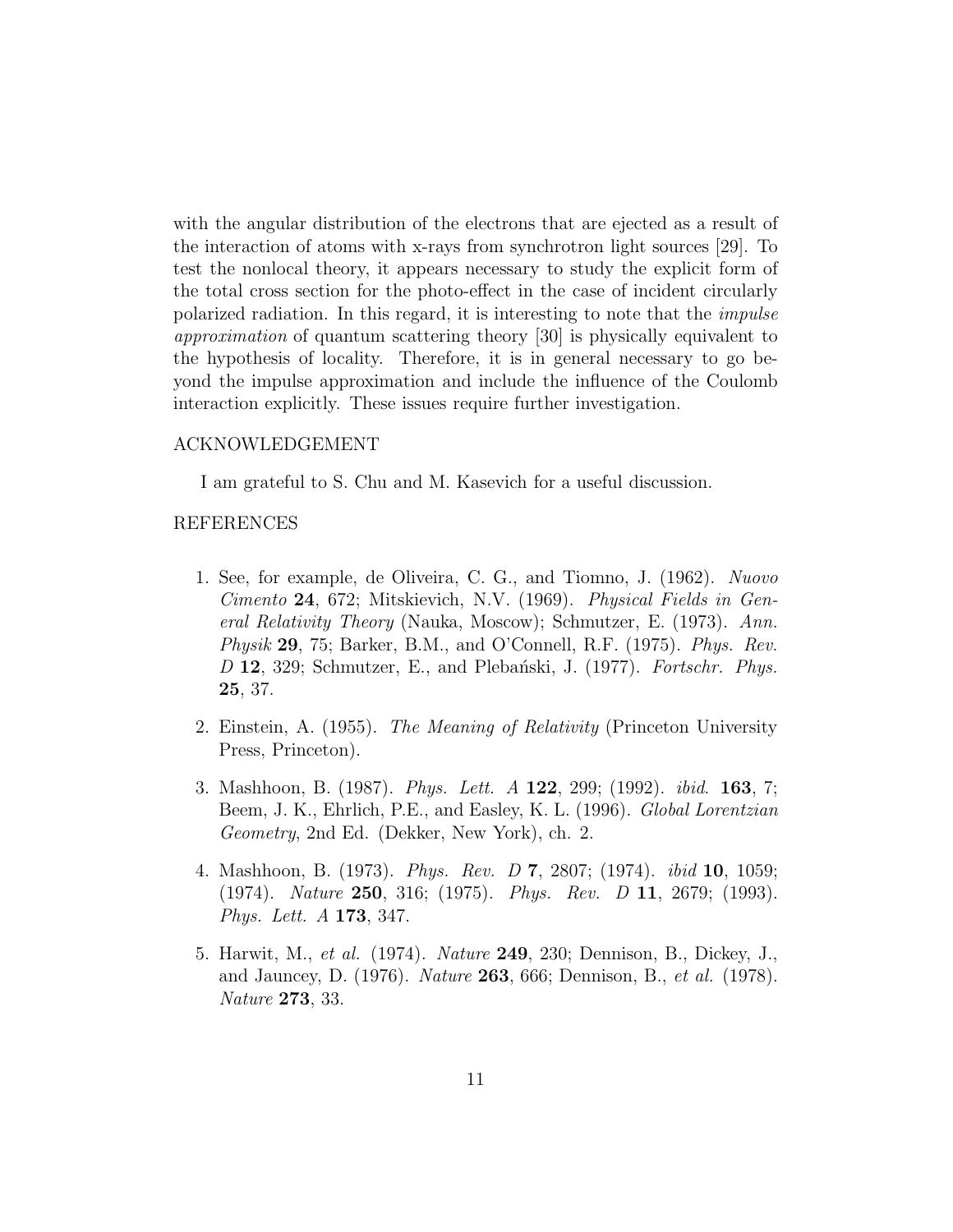with the angular distribution of the electrons that are ejected as a result of the interaction of atoms with x-rays from synchrotron light sources [29]. To test the nonlocal theory, it appears necessary to study the explicit form of the total cross section for the photo-effect in the case of incident circularly polarized radiation. In this regard, it is interesting to note that the *impulse approximation* of quantum scattering theory [30] is physically equivalent to the hypothesis of locality. Therefore, it is in general necessary to go beyond the impulse approximation and include the influence of the Coulomb interaction explicitly. These issues require further investigation.

## ACKNOWLEDGEMENT

I am grateful to S. Chu and M. Kasevich for a useful discussion.

#### REFERENCES

- 1. See, for example, de Oliveira, C. G., and Tiomno, J. (1962). *Nuovo Cimento* 24, 672; Mitskievich, N.V. (1969). *Physical Fields in General Relativity Theory* (Nauka, Moscow); Schmutzer, E. (1973). *Ann. Physik* 29, 75; Barker, B.M., and O'Connell, R.F. (1975). *Phys. Rev. D* 12, 329; Schmutzer, E., and Pleba´nski, J. (1977). *Fortschr. Phys.* 25, 37.
- 2. Einstein, A. (1955). *The Meaning of Relativity* (Princeton University Press, Princeton).
- 3. Mashhoon, B. (1987). *Phys. Lett. A* 122, 299; (1992). *ibid*. 163, 7; Beem, J. K., Ehrlich, P.E., and Easley, K. L. (1996). *Global Lorentzian Geometry*, 2nd Ed. (Dekker, New York), ch. 2.
- 4. Mashhoon, B. (1973). *Phys. Rev. D* 7, 2807; (1974). *ibid* 10, 1059; (1974). *Nature* 250, 316; (1975). *Phys. Rev. D* 11, 2679; (1993). *Phys. Lett. A* 173, 347.
- 5. Harwit, M., *et al.* (1974). *Nature* 249, 230; Dennison, B., Dickey, J., and Jauncey, D. (1976). *Nature* 263, 666; Dennison, B., *et al.* (1978). *Nature* 273, 33.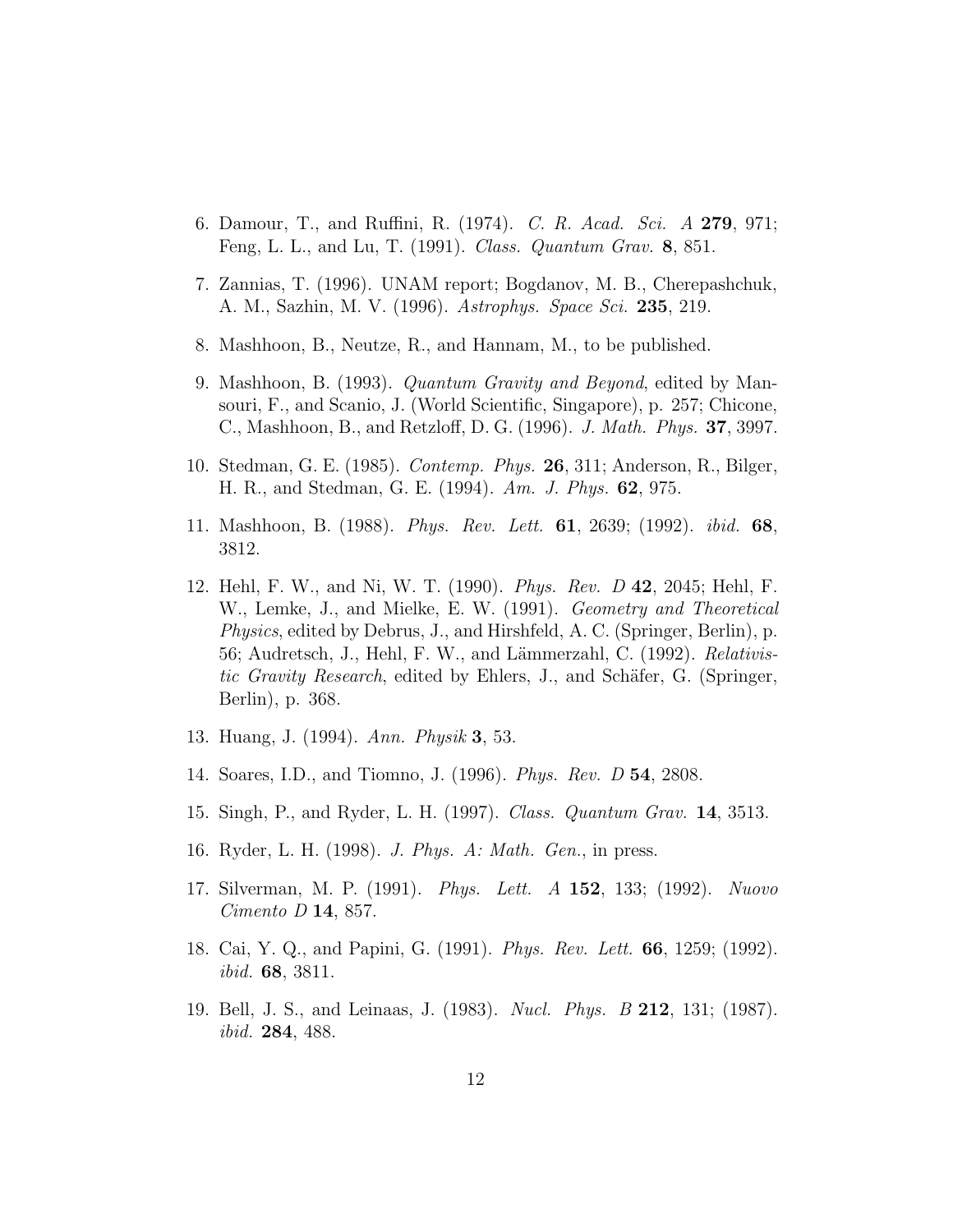- 6. Damour, T., and Ruffini, R. (1974). *C. R. Acad. Sci. A* 279, 971; Feng, L. L., and Lu, T. (1991). *Class. Quantum Grav.* 8, 851.
- 7. Zannias, T. (1996). UNAM report; Bogdanov, M. B., Cherepashchuk, A. M., Sazhin, M. V. (1996). *Astrophys. Space Sci.* 235, 219.
- 8. Mashhoon, B., Neutze, R., and Hannam, M., to be published.
- 9. Mashhoon, B. (1993). *Quantum Gravity and Beyond*, edited by Mansouri, F., and Scanio, J. (World Scientific, Singapore), p. 257; Chicone, C., Mashhoon, B., and Retzloff, D. G. (1996). *J. Math. Phys.* 37, 3997.
- 10. Stedman, G. E. (1985). *Contemp. Phys.* 26, 311; Anderson, R., Bilger, H. R., and Stedman, G. E. (1994). *Am. J. Phys.* 62, 975.
- 11. Mashhoon, B. (1988). *Phys. Rev. Lett.* 61, 2639; (1992). *ibid.* 68, 3812.
- 12. Hehl, F. W., and Ni, W. T. (1990). *Phys. Rev. D* 42, 2045; Hehl, F. W., Lemke, J., and Mielke, E. W. (1991). *Geometry and Theoretical Physics*, edited by Debrus, J., and Hirshfeld, A. C. (Springer, Berlin), p. 56; Audretsch, J., Hehl, F. W., and Lämmerzahl, C. (1992). *Relativistic Gravity Research*, edited by Ehlers, J., and Schäfer, G. (Springer, Berlin), p. 368.
- 13. Huang, J. (1994). *Ann. Physik* 3, 53.
- 14. Soares, I.D., and Tiomno, J. (1996). *Phys. Rev. D* 54, 2808.
- 15. Singh, P., and Ryder, L. H. (1997). *Class. Quantum Grav.* 14, 3513.
- 16. Ryder, L. H. (1998). *J. Phys. A: Math. Gen.*, in press.
- 17. Silverman, M. P. (1991). *Phys. Lett. A* 152, 133; (1992). *Nuovo Cimento D* 14, 857.
- 18. Cai, Y. Q., and Papini, G. (1991). *Phys. Rev. Lett.* 66, 1259; (1992). *ibid.* 68, 3811.
- 19. Bell, J. S., and Leinaas, J. (1983). *Nucl. Phys. B* 212, 131; (1987). *ibid.* 284, 488.